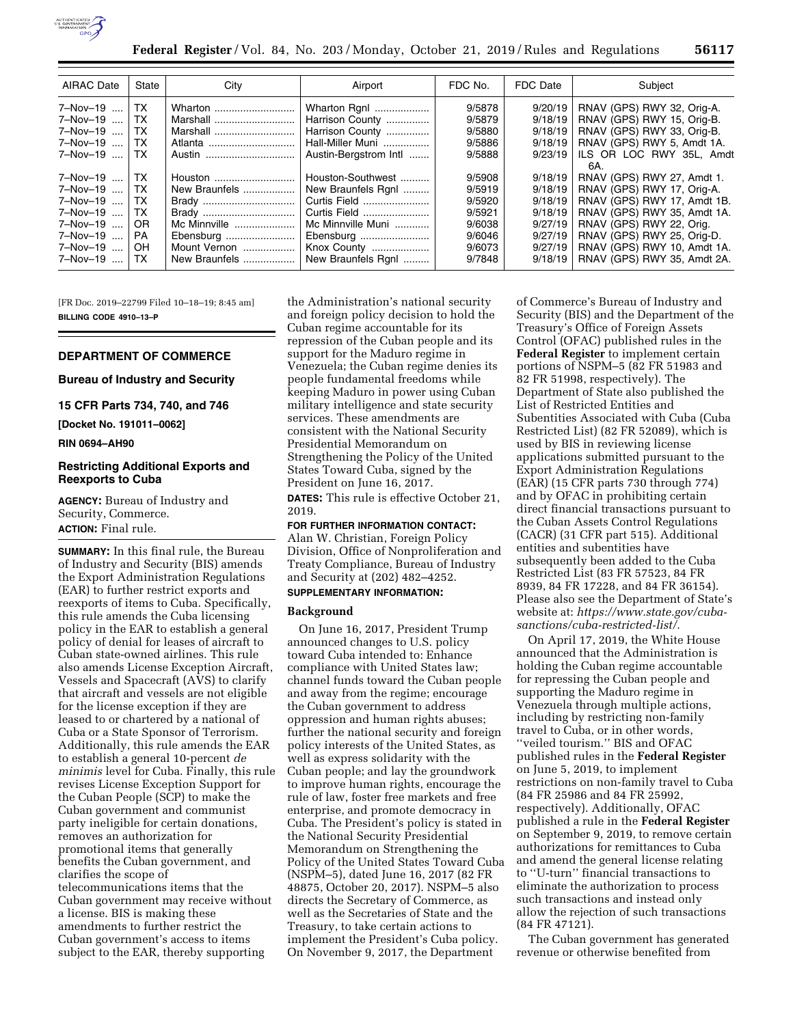

| <b>AIRAC Date</b>                                                                            | State                                                  | City                                                                                                     | Airport                                                                                                                                        | FDC No.                                                                      | FDC Date                                                                             | Subject                                                                                                                                                                                                                                        |
|----------------------------------------------------------------------------------------------|--------------------------------------------------------|----------------------------------------------------------------------------------------------------------|------------------------------------------------------------------------------------------------------------------------------------------------|------------------------------------------------------------------------------|--------------------------------------------------------------------------------------|------------------------------------------------------------------------------------------------------------------------------------------------------------------------------------------------------------------------------------------------|
| $7 - Nov - 19$ TX<br>7-Nov-19<br>7-Nov-19<br>7-Nov-19<br>7-Nov-19                            | TX.<br>TX.<br>TX.<br>TX.                               | Wharton<br>Marshall<br>Marshall<br>Atlanta<br>Austin                                                     | Wharton Rgnl<br>Harrison County<br>Harrison County<br>Hall-Miller Muni<br>Austin-Bergstrom Intl                                                | 9/5878<br>9/5879<br>9/5880<br>9/5886<br>9/5888                               | 9/20/19<br>9/18/19<br>9/18/19<br>9/18/19<br>9/23/19                                  | RNAV (GPS) RWY 32, Orig-A.<br>RNAV (GPS) RWY 15, Orig-B.<br>RNAV (GPS) RWY 33, Orig-B.<br>RNAV (GPS) RWY 5, Amdt 1A.<br>ILS OR LOC RWY 35L, Amdt<br>6A.                                                                                        |
| 7-Nov-19<br>7-Nov-19<br>7-Nov-19<br>7-Nov-19<br>7-Nov-19<br>7-Nov-19<br>7-Nov-19<br>7-Nov-19 | l TX.<br>TX.<br>TX.<br>TX.<br>OR.<br>PA.<br>OH.<br>TX. | Houston<br>New Braunfels<br>Brady<br>Brady<br>Mc Minnville<br>Ebensburg<br>Mount Vernon<br>New Braunfels | Houston-Southwest<br>New Braunfels Rgnl<br>Curtis Field<br>Curtis Field<br>Mc Minnville Muni<br>Ebensburg<br>Knox County<br>New Braunfels Rgnl | 9/5908<br>9/5919<br>9/5920<br>9/5921<br>9/6038<br>9/6046<br>9/6073<br>9/7848 | 9/18/19<br>9/18/19<br>9/18/19<br>9/18/19<br>9/27/19<br>9/27/19<br>9/27/19<br>9/18/19 | RNAV (GPS) RWY 27, Amdt 1.<br>RNAV (GPS) RWY 17, Orig-A.<br>RNAV (GPS) RWY 17, Amdt 1B.<br>RNAV (GPS) RWY 35, Amdt 1A.<br>RNAV (GPS) RWY 22, Orig.<br>RNAV (GPS) RWY 25, Orig-D.<br>RNAV (GPS) RWY 10, Amdt 1A.<br>RNAV (GPS) RWY 35, Amdt 2A. |

[FR Doc. 2019–22799 Filed 10–18–19; 8:45 am] **BILLING CODE 4910–13–P** 

# **DEPARTMENT OF COMMERCE**

#### **Bureau of Industry and Security**

**15 CFR Parts 734, 740, and 746** 

**[Docket No. 191011–0062]** 

**RIN 0694–AH90** 

#### **Restricting Additional Exports and Reexports to Cuba**

**AGENCY:** Bureau of Industry and Security, Commerce. **ACTION:** Final rule.

**SUMMARY:** In this final rule, the Bureau of Industry and Security (BIS) amends the Export Administration Regulations (EAR) to further restrict exports and reexports of items to Cuba. Specifically, this rule amends the Cuba licensing policy in the EAR to establish a general policy of denial for leases of aircraft to Cuban state-owned airlines. This rule also amends License Exception Aircraft, Vessels and Spacecraft (AVS) to clarify that aircraft and vessels are not eligible for the license exception if they are leased to or chartered by a national of Cuba or a State Sponsor of Terrorism. Additionally, this rule amends the EAR to establish a general 10-percent *de minimis* level for Cuba. Finally, this rule revises License Exception Support for the Cuban People (SCP) to make the Cuban government and communist party ineligible for certain donations, removes an authorization for promotional items that generally benefits the Cuban government, and clarifies the scope of telecommunications items that the Cuban government may receive without a license. BIS is making these amendments to further restrict the Cuban government's access to items subject to the EAR, thereby supporting

the Administration's national security and foreign policy decision to hold the Cuban regime accountable for its repression of the Cuban people and its support for the Maduro regime in Venezuela; the Cuban regime denies its people fundamental freedoms while keeping Maduro in power using Cuban military intelligence and state security services. These amendments are consistent with the National Security Presidential Memorandum on Strengthening the Policy of the United States Toward Cuba, signed by the President on June 16, 2017.

**DATES:** This rule is effective October 21, 2019.

**FOR FURTHER INFORMATION CONTACT:**  Alan W. Christian, Foreign Policy Division, Office of Nonproliferation and Treaty Compliance, Bureau of Industry and Security at (202) 482–4252. **SUPPLEMENTARY INFORMATION:** 

# **Background**

On June 16, 2017, President Trump announced changes to U.S. policy toward Cuba intended to: Enhance compliance with United States law; channel funds toward the Cuban people and away from the regime; encourage the Cuban government to address oppression and human rights abuses; further the national security and foreign policy interests of the United States, as well as express solidarity with the Cuban people; and lay the groundwork to improve human rights, encourage the rule of law, foster free markets and free enterprise, and promote democracy in Cuba. The President's policy is stated in the National Security Presidential Memorandum on Strengthening the Policy of the United States Toward Cuba (NSPM–5), dated June 16, 2017 (82 FR 48875, October 20, 2017). NSPM–5 also directs the Secretary of Commerce, as well as the Secretaries of State and the Treasury, to take certain actions to implement the President's Cuba policy. On November 9, 2017, the Department

of Commerce's Bureau of Industry and Security (BIS) and the Department of the Treasury's Office of Foreign Assets Control (OFAC) published rules in the **Federal Register** to implement certain portions of NSPM–5 (82 FR 51983 and 82 FR 51998, respectively). The Department of State also published the List of Restricted Entities and Subentities Associated with Cuba (Cuba Restricted List) (82 FR 52089), which is used by BIS in reviewing license applications submitted pursuant to the Export Administration Regulations (EAR) (15 CFR parts 730 through 774) and by OFAC in prohibiting certain direct financial transactions pursuant to the Cuban Assets Control Regulations (CACR) (31 CFR part 515). Additional entities and subentities have subsequently been added to the Cuba Restricted List (83 FR 57523, 84 FR 8939, 84 FR 17228, and 84 FR 36154). Please also see the Department of State's website at: *[https://www.state.gov/cuba](https://www.state.gov/cuba-sanctions/cuba-restricted-list/)[sanctions/cuba-restricted-list/.](https://www.state.gov/cuba-sanctions/cuba-restricted-list/)* 

On April 17, 2019, the White House announced that the Administration is holding the Cuban regime accountable for repressing the Cuban people and supporting the Maduro regime in Venezuela through multiple actions, including by restricting non-family travel to Cuba, or in other words, ''veiled tourism.'' BIS and OFAC published rules in the **Federal Register**  on June 5, 2019, to implement restrictions on non-family travel to Cuba (84 FR 25986 and 84 FR 25992, respectively). Additionally, OFAC published a rule in the **Federal Register**  on September 9, 2019, to remove certain authorizations for remittances to Cuba and amend the general license relating to ''U-turn'' financial transactions to eliminate the authorization to process such transactions and instead only allow the rejection of such transactions (84 FR 47121).

The Cuban government has generated revenue or otherwise benefited from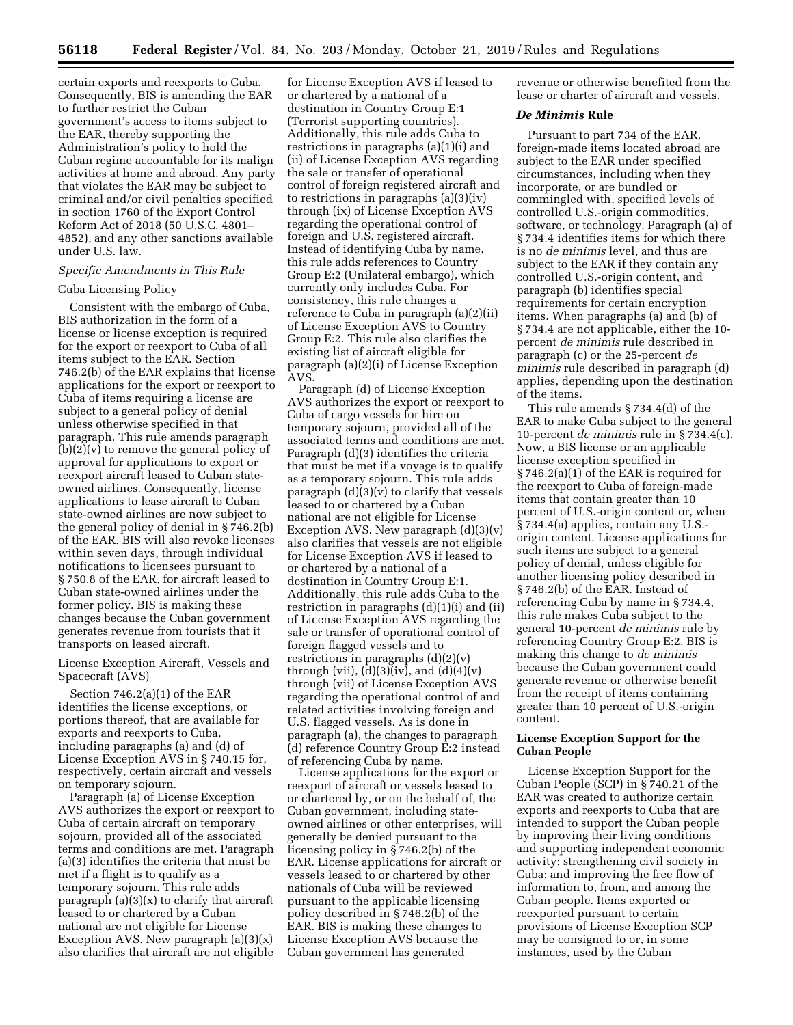certain exports and reexports to Cuba. Consequently, BIS is amending the EAR to further restrict the Cuban government's access to items subject to the EAR, thereby supporting the Administration's policy to hold the Cuban regime accountable for its malign activities at home and abroad. Any party that violates the EAR may be subject to criminal and/or civil penalties specified in section 1760 of the Export Control Reform Act of 2018 (50 U.S.C. 4801– 4852), and any other sanctions available under U.S. law.

## *Specific Amendments in This Rule*

#### Cuba Licensing Policy

Consistent with the embargo of Cuba, BIS authorization in the form of a license or license exception is required for the export or reexport to Cuba of all items subject to the EAR. Section 746.2(b) of the EAR explains that license applications for the export or reexport to Cuba of items requiring a license are subject to a general policy of denial unless otherwise specified in that paragraph. This rule amends paragraph  $(b)(2)(v)$  to remove the general policy of approval for applications to export or reexport aircraft leased to Cuban stateowned airlines. Consequently, license applications to lease aircraft to Cuban state-owned airlines are now subject to the general policy of denial in § 746.2(b) of the EAR. BIS will also revoke licenses within seven days, through individual notifications to licensees pursuant to § 750.8 of the EAR, for aircraft leased to Cuban state-owned airlines under the former policy. BIS is making these changes because the Cuban government generates revenue from tourists that it transports on leased aircraft.

License Exception Aircraft, Vessels and Spacecraft (AVS)

Section 746.2(a)(1) of the EAR identifies the license exceptions, or portions thereof, that are available for exports and reexports to Cuba, including paragraphs (a) and (d) of License Exception AVS in § 740.15 for, respectively, certain aircraft and vessels on temporary sojourn.

Paragraph (a) of License Exception AVS authorizes the export or reexport to Cuba of certain aircraft on temporary sojourn, provided all of the associated terms and conditions are met. Paragraph (a)(3) identifies the criteria that must be met if a flight is to qualify as a temporary sojourn. This rule adds paragraph (a)(3)(x) to clarify that aircraft leased to or chartered by a Cuban national are not eligible for License Exception AVS. New paragraph  $(a)(3)(x)$ also clarifies that aircraft are not eligible

for License Exception AVS if leased to or chartered by a national of a destination in Country Group E:1 (Terrorist supporting countries). Additionally, this rule adds Cuba to restrictions in paragraphs (a)(1)(i) and (ii) of License Exception AVS regarding the sale or transfer of operational control of foreign registered aircraft and to restrictions in paragraphs (a)(3)(iv) through (ix) of License Exception AVS regarding the operational control of foreign and U.S. registered aircraft. Instead of identifying Cuba by name, this rule adds references to Country Group E:2 (Unilateral embargo), which currently only includes Cuba. For consistency, this rule changes a reference to Cuba in paragraph (a)(2)(ii) of License Exception AVS to Country Group E:2. This rule also clarifies the existing list of aircraft eligible for paragraph (a)(2)(i) of License Exception AVS.

Paragraph (d) of License Exception AVS authorizes the export or reexport to Cuba of cargo vessels for hire on temporary sojourn, provided all of the associated terms and conditions are met. Paragraph (d)(3) identifies the criteria that must be met if a voyage is to qualify as a temporary sojourn. This rule adds paragraph (d)(3)(v) to clarify that vessels leased to or chartered by a Cuban national are not eligible for License Exception AVS. New paragraph (d)(3)(v) also clarifies that vessels are not eligible for License Exception AVS if leased to or chartered by a national of a destination in Country Group E:1. Additionally, this rule adds Cuba to the restriction in paragraphs (d)(1)(i) and (ii) of License Exception AVS regarding the sale or transfer of operational control of foreign flagged vessels and to restrictions in paragraphs  $(d)(2)(v)$ through (vii),  $(d)(3)(iv)$ , and  $(d)(4)(v)$ through (vii) of License Exception AVS regarding the operational control of and related activities involving foreign and U.S. flagged vessels. As is done in paragraph (a), the changes to paragraph (d) reference Country Group E:2 instead of referencing Cuba by name.

License applications for the export or reexport of aircraft or vessels leased to or chartered by, or on the behalf of, the Cuban government, including stateowned airlines or other enterprises, will generally be denied pursuant to the licensing policy in § 746.2(b) of the EAR. License applications for aircraft or vessels leased to or chartered by other nationals of Cuba will be reviewed pursuant to the applicable licensing policy described in § 746.2(b) of the EAR. BIS is making these changes to License Exception AVS because the Cuban government has generated

revenue or otherwise benefited from the lease or charter of aircraft and vessels.

#### *De Minimis* **Rule**

Pursuant to part 734 of the EAR, foreign-made items located abroad are subject to the EAR under specified circumstances, including when they incorporate, or are bundled or commingled with, specified levels of controlled U.S.-origin commodities, software, or technology. Paragraph (a) of § 734.4 identifies items for which there is no *de minimis* level, and thus are subject to the EAR if they contain any controlled U.S.-origin content, and paragraph (b) identifies special requirements for certain encryption items. When paragraphs (a) and (b) of § 734.4 are not applicable, either the 10 percent *de minimis* rule described in paragraph (c) or the 25-percent *de minimis* rule described in paragraph (d) applies, depending upon the destination of the items.

This rule amends § 734.4(d) of the EAR to make Cuba subject to the general 10-percent *de minimis* rule in § 734.4(c). Now, a BIS license or an applicable license exception specified in § 746.2(a)(1) of the EAR is required for the reexport to Cuba of foreign-made items that contain greater than 10 percent of U.S.-origin content or, when § 734.4(a) applies, contain any U.S. origin content. License applications for such items are subject to a general policy of denial, unless eligible for another licensing policy described in § 746.2(b) of the EAR. Instead of referencing Cuba by name in § 734.4, this rule makes Cuba subject to the general 10-percent *de minimis* rule by referencing Country Group E:2. BIS is making this change to *de minimis*  because the Cuban government could generate revenue or otherwise benefit from the receipt of items containing greater than 10 percent of U.S.-origin content.

# **License Exception Support for the Cuban People**

License Exception Support for the Cuban People (SCP) in § 740.21 of the EAR was created to authorize certain exports and reexports to Cuba that are intended to support the Cuban people by improving their living conditions and supporting independent economic activity; strengthening civil society in Cuba; and improving the free flow of information to, from, and among the Cuban people. Items exported or reexported pursuant to certain provisions of License Exception SCP may be consigned to or, in some instances, used by the Cuban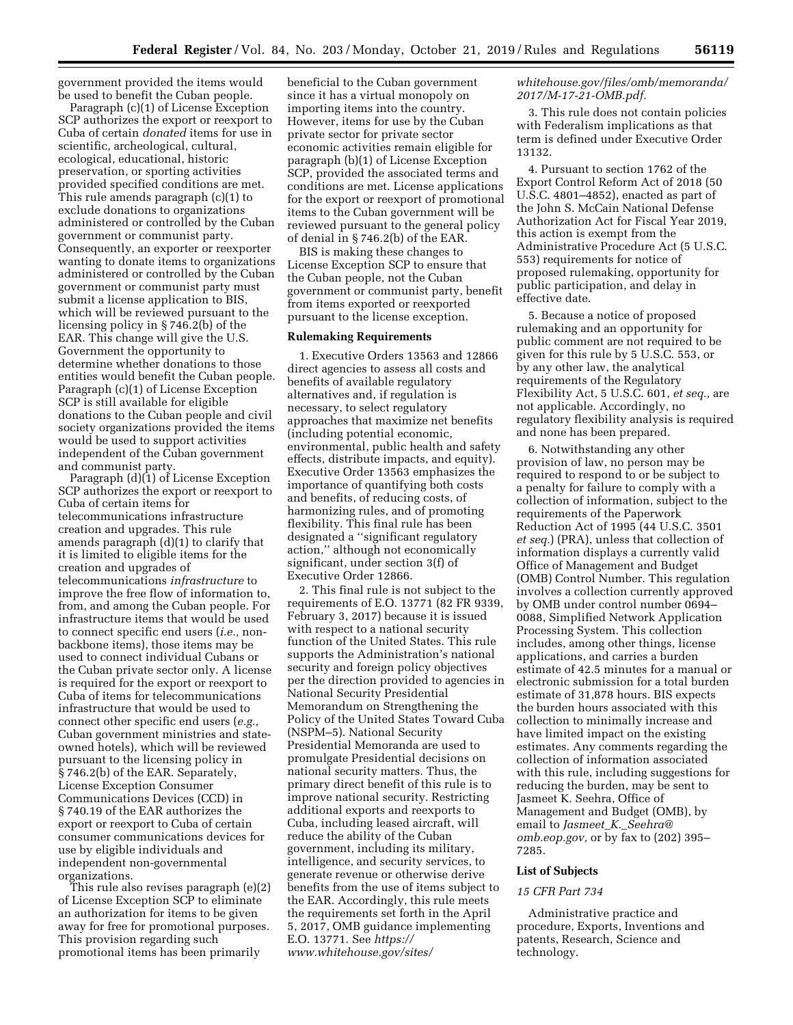government provided the items would be used to benefit the Cuban people.

Paragraph (c)(1) of License Exception SCP authorizes the export or reexport to Cuba of certain *donated* items for use in scientific, archeological, cultural, ecological, educational, historic preservation, or sporting activities provided specified conditions are met. This rule amends paragraph (c)(1) to exclude donations to organizations administered or controlled by the Cuban government or communist party. Consequently, an exporter or reexporter wanting to donate items to organizations administered or controlled by the Cuban government or communist party must submit a license application to BIS, which will be reviewed pursuant to the licensing policy in § 746.2(b) of the EAR. This change will give the U.S. Government the opportunity to determine whether donations to those entities would benefit the Cuban people. Paragraph (c)(1) of License Exception SCP is still available for eligible donations to the Cuban people and civil society organizations provided the items would be used to support activities independent of the Cuban government and communist party.

Paragraph (d)(1) of License Exception SCP authorizes the export or reexport to Cuba of certain items for telecommunications infrastructure creation and upgrades. This rule amends paragraph (d)(1) to clarify that it is limited to eligible items for the creation and upgrades of telecommunications *infrastructure* to improve the free flow of information to, from, and among the Cuban people. For infrastructure items that would be used to connect specific end users (*i.e.,* nonbackbone items), those items may be used to connect individual Cubans or the Cuban private sector only. A license is required for the export or reexport to Cuba of items for telecommunications infrastructure that would be used to connect other specific end users (*e.g.,*  Cuban government ministries and stateowned hotels), which will be reviewed pursuant to the licensing policy in § 746.2(b) of the EAR. Separately, License Exception Consumer Communications Devices (CCD) in § 740.19 of the EAR authorizes the export or reexport to Cuba of certain consumer communications devices for use by eligible individuals and independent non-governmental organizations.

This rule also revises paragraph (e)(2) of License Exception SCP to eliminate an authorization for items to be given away for free for promotional purposes. This provision regarding such promotional items has been primarily

beneficial to the Cuban government since it has a virtual monopoly on importing items into the country. However, items for use by the Cuban private sector for private sector economic activities remain eligible for paragraph (b)(1) of License Exception SCP, provided the associated terms and conditions are met. License applications for the export or reexport of promotional items to the Cuban government will be reviewed pursuant to the general policy of denial in § 746.2(b) of the EAR.

BIS is making these changes to License Exception SCP to ensure that the Cuban people, not the Cuban government or communist party, benefit from items exported or reexported pursuant to the license exception.

#### **Rulemaking Requirements**

1. Executive Orders 13563 and 12866 direct agencies to assess all costs and benefits of available regulatory alternatives and, if regulation is necessary, to select regulatory approaches that maximize net benefits (including potential economic, environmental, public health and safety effects, distribute impacts, and equity). Executive Order 13563 emphasizes the importance of quantifying both costs and benefits, of reducing costs, of harmonizing rules, and of promoting flexibility. This final rule has been designated a ''significant regulatory action,'' although not economically significant, under section 3(f) of Executive Order 12866.

2. This final rule is not subject to the requirements of E.O. 13771 (82 FR 9339, February 3, 2017) because it is issued with respect to a national security function of the United States. This rule supports the Administration's national security and foreign policy objectives per the direction provided to agencies in National Security Presidential Memorandum on Strengthening the Policy of the United States Toward Cuba (NSPM–5). National Security Presidential Memoranda are used to promulgate Presidential decisions on national security matters. Thus, the primary direct benefit of this rule is to improve national security. Restricting additional exports and reexports to Cuba, including leased aircraft, will reduce the ability of the Cuban government, including its military, intelligence, and security services, to generate revenue or otherwise derive benefits from the use of items subject to the EAR. Accordingly, this rule meets the requirements set forth in the April 5, 2017, OMB guidance implementing E.O. 13771. See *[https://](https://www.whitehouse.gov/sites/whitehouse.gov/files/omb/memoranda/2017/M-17-21-OMB.pdf) [www.whitehouse.gov/sites/](https://www.whitehouse.gov/sites/whitehouse.gov/files/omb/memoranda/2017/M-17-21-OMB.pdf)* 

#### *[whitehouse.gov/files/omb/memoranda/](https://www.whitehouse.gov/sites/whitehouse.gov/files/omb/memoranda/2017/M-17-21-OMB.pdf) [2017/M-17-21-OMB.pdf.](https://www.whitehouse.gov/sites/whitehouse.gov/files/omb/memoranda/2017/M-17-21-OMB.pdf)*

3. This rule does not contain policies with Federalism implications as that term is defined under Executive Order 13132.

4. Pursuant to section 1762 of the Export Control Reform Act of 2018 (50 U.S.C. 4801–4852), enacted as part of the John S. McCain National Defense Authorization Act for Fiscal Year 2019, this action is exempt from the Administrative Procedure Act (5 U.S.C. 553) requirements for notice of proposed rulemaking, opportunity for public participation, and delay in effective date.

5. Because a notice of proposed rulemaking and an opportunity for public comment are not required to be given for this rule by 5 U.S.C. 553, or by any other law, the analytical requirements of the Regulatory Flexibility Act, 5 U.S.C. 601, *et seq.,* are not applicable. Accordingly, no regulatory flexibility analysis is required and none has been prepared.

6. Notwithstanding any other provision of law, no person may be required to respond to or be subject to a penalty for failure to comply with a collection of information, subject to the requirements of the Paperwork Reduction Act of 1995 (44 U.S.C. 3501 *et seq.*) (PRA), unless that collection of information displays a currently valid Office of Management and Budget (OMB) Control Number. This regulation involves a collection currently approved by OMB under control number 0694– 0088, Simplified Network Application Processing System. This collection includes, among other things, license applications, and carries a burden estimate of 42.5 minutes for a manual or electronic submission for a total burden estimate of 31,878 hours. BIS expects the burden hours associated with this collection to minimally increase and have limited impact on the existing estimates. Any comments regarding the collection of information associated with this rule, including suggestions for reducing the burden, may be sent to Jasmeet K. Seehra, Office of Management and Budget (OMB), by email to *Jasmeet*\_*K.*\_*[Seehra@](mailto:Jasmeet_K._Seehra@omb.eop.gov) [omb.eop.gov,](mailto:Jasmeet_K._Seehra@omb.eop.gov)* or by fax to (202) 395– 7285.

#### **List of Subjects**

#### *15 CFR Part 734*

Administrative practice and procedure, Exports, Inventions and patents, Research, Science and technology.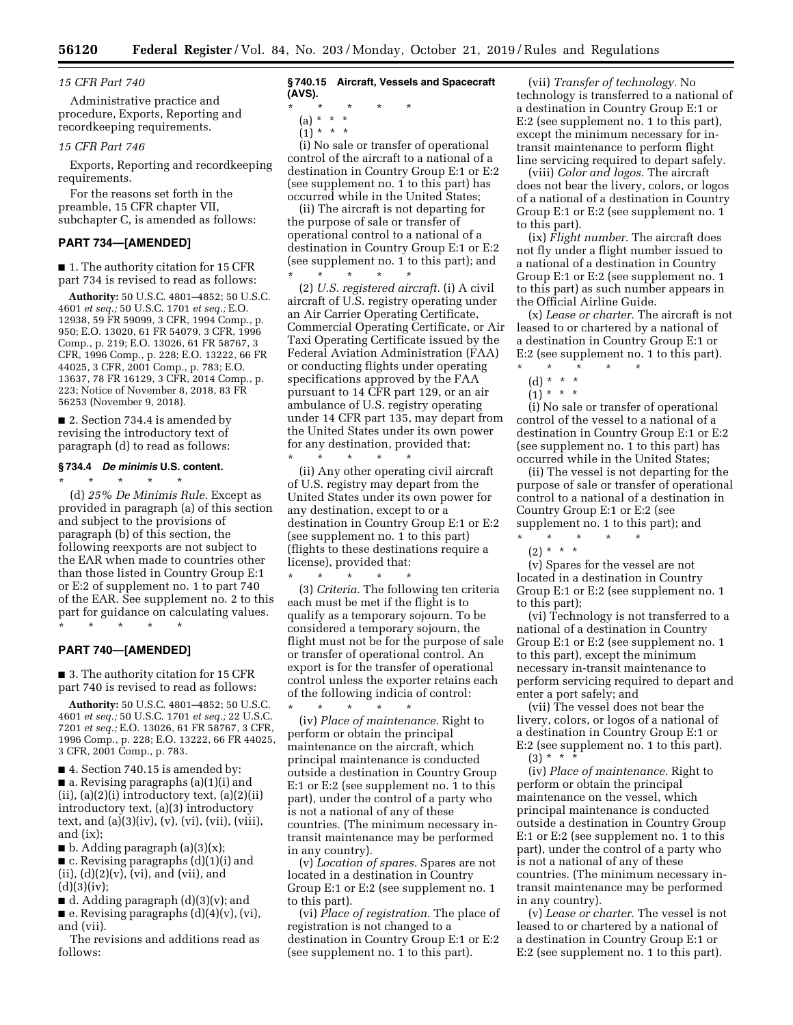## *15 CFR Part 740*

Administrative practice and procedure, Exports, Reporting and recordkeeping requirements.

#### *15 CFR Part 746*

Exports, Reporting and recordkeeping requirements.

For the reasons set forth in the preamble, 15 CFR chapter VII, subchapter C, is amended as follows:

# **PART 734—[AMENDED]**

■ 1. The authority citation for 15 CFR part 734 is revised to read as follows:

**Authority:** 50 U.S.C. 4801–4852; 50 U.S.C. 4601 *et seq.;* 50 U.S.C. 1701 *et seq.;* E.O. 12938, 59 FR 59099, 3 CFR, 1994 Comp., p. 950; E.O. 13020, 61 FR 54079, 3 CFR, 1996 Comp., p. 219; E.O. 13026, 61 FR 58767, 3 CFR, 1996 Comp., p. 228; E.O. 13222, 66 FR 44025, 3 CFR, 2001 Comp., p. 783; E.O. 13637, 78 FR 16129, 3 CFR, 2014 Comp., p. 223; Notice of November 8, 2018, 83 FR 56253 (November 9, 2018).

■ 2. Section 734.4 is amended by revising the introductory text of paragraph (d) to read as follows:

#### **§ 734.4** *De minimis* **U.S. content.**

\* \* \* \* \*

(d) *25% De Minimis Rule.* Except as provided in paragraph (a) of this section and subject to the provisions of paragraph (b) of this section, the following reexports are not subject to the EAR when made to countries other than those listed in Country Group E:1 or E:2 of supplement no. 1 to part 740 of the EAR. See supplement no. 2 to this part for guidance on calculating values.

\* \* \* \* \*

# **PART 740—[AMENDED]**

■ 3. The authority citation for 15 CFR part 740 is revised to read as follows:

**Authority:** 50 U.S.C. 4801–4852; 50 U.S.C. 4601 *et seq.;* 50 U.S.C. 1701 *et seq.;* 22 U.S.C. 7201 *et seq.;* E.O. 13026, 61 FR 58767, 3 CFR, 1996 Comp., p. 228; E.O. 13222, 66 FR 44025, 3 CFR, 2001 Comp., p. 783.

■ 4. Section 740.15 is amended by:

■ a. Revising paragraphs (a)(1)(i) and  $(ii)$ ,  $(a)(2)(i)$  introductory text,  $(a)(2)(ii)$ introductory text, (a)(3) introductory text, and (a)(3)(iv), (v), (vi), (vii), (viii), and (ix);

 $\blacksquare$  b. Adding paragraph (a)(3)(x);

■ c. Revising paragraphs (d)(1)(i) and (ii),  $(d)(2)(v)$ ,  $(vi)$ , and  $(vii)$ , and  $(d)(3)(iv);$ 

 $\blacksquare$  d. Adding paragraph (d)(3)(v); and

 $\blacksquare$  e. Revising paragraphs  $(d)(4)(v)$ ,  $(vi)$ , and (vii).

The revisions and additions read as follows:

#### **§ 740.15 Aircraft, Vessels and Spacecraft (AVS).**

\* \* \* \* \*

- (a) \* \* \*
- $(1)^*$  \* \*

(i) No sale or transfer of operational control of the aircraft to a national of a destination in Country Group E:1 or E:2 (see supplement no. 1 to this part) has occurred while in the United States;

(ii) The aircraft is not departing for the purpose of sale or transfer of operational control to a national of a destination in Country Group E:1 or E:2 (see supplement no. 1 to this part); and \* \* \* \* \*

(2) *U.S. registered aircraft.* (i) A civil aircraft of U.S. registry operating under an Air Carrier Operating Certificate, Commercial Operating Certificate, or Air Taxi Operating Certificate issued by the Federal Aviation Administration (FAA) or conducting flights under operating specifications approved by the FAA pursuant to 14 CFR part 129, or an air ambulance of U.S. registry operating under 14 CFR part 135, may depart from the United States under its own power for any destination, provided that:

\* \* \* \* \* (ii) Any other operating civil aircraft of U.S. registry may depart from the United States under its own power for any destination, except to or a destination in Country Group E:1 or E:2 (see supplement no. 1 to this part) (flights to these destinations require a license), provided that:

\* \* \* \* \* (3) *Criteria.* The following ten criteria each must be met if the flight is to qualify as a temporary sojourn. To be considered a temporary sojourn, the flight must not be for the purpose of sale or transfer of operational control. An export is for the transfer of operational control unless the exporter retains each of the following indicia of control:

\* \* \* \* \* (iv) *Place of maintenance.* Right to perform or obtain the principal maintenance on the aircraft, which principal maintenance is conducted outside a destination in Country Group E:1 or E:2 (see supplement no. 1 to this part), under the control of a party who is not a national of any of these countries. (The minimum necessary intransit maintenance may be performed in any country).

(v) *Location of spares.* Spares are not located in a destination in Country Group E:1 or E:2 (see supplement no. 1 to this part).

(vi) *Place of registration.* The place of registration is not changed to a destination in Country Group E:1 or E:2 (see supplement no. 1 to this part).

(vii) *Transfer of technology.* No technology is transferred to a national of a destination in Country Group E:1 or E:2 (see supplement no. 1 to this part), except the minimum necessary for intransit maintenance to perform flight line servicing required to depart safely.

(viii) *Color and logos.* The aircraft does not bear the livery, colors, or logos of a national of a destination in Country Group E:1 or E:2 (see supplement no. 1 to this part).

(ix) *Flight number.* The aircraft does not fly under a flight number issued to a national of a destination in Country Group E:1 or E:2 (see supplement no. 1 to this part) as such number appears in the Official Airline Guide.

(x) *Lease or charter.* The aircraft is not leased to or chartered by a national of a destination in Country Group E:1 or E:2 (see supplement no. 1 to this part).

\* \* \* \* \*

(d) \* \* \*  $(1) * * * *$ 

(i) No sale or transfer of operational control of the vessel to a national of a destination in Country Group E:1 or E:2 (see supplement no. 1 to this part) has occurred while in the United States;

(ii) The vessel is not departing for the purpose of sale or transfer of operational control to a national of a destination in Country Group E:1 or E:2 (see supplement no. 1 to this part); and \* \* \* \* \*

 $(2) * * * *$ 

(v) Spares for the vessel are not located in a destination in Country Group E:1 or E:2 (see supplement no. 1 to this part);

(vi) Technology is not transferred to a national of a destination in Country Group E:1 or E:2 (see supplement no. 1 to this part), except the minimum necessary in-transit maintenance to perform servicing required to depart and enter a port safely; and

(vii) The vessel does not bear the livery, colors, or logos of a national of a destination in Country Group E:1 or E:2 (see supplement no. 1 to this part).  $(3) * *$ 

(iv) *Place of maintenance.* Right to perform or obtain the principal maintenance on the vessel, which principal maintenance is conducted outside a destination in Country Group E:1 or E:2 (see supplement no. 1 to this part), under the control of a party who is not a national of any of these countries. (The minimum necessary intransit maintenance may be performed in any country).

(v) *Lease or charter.* The vessel is not leased to or chartered by a national of a destination in Country Group E:1 or E:2 (see supplement no. 1 to this part).